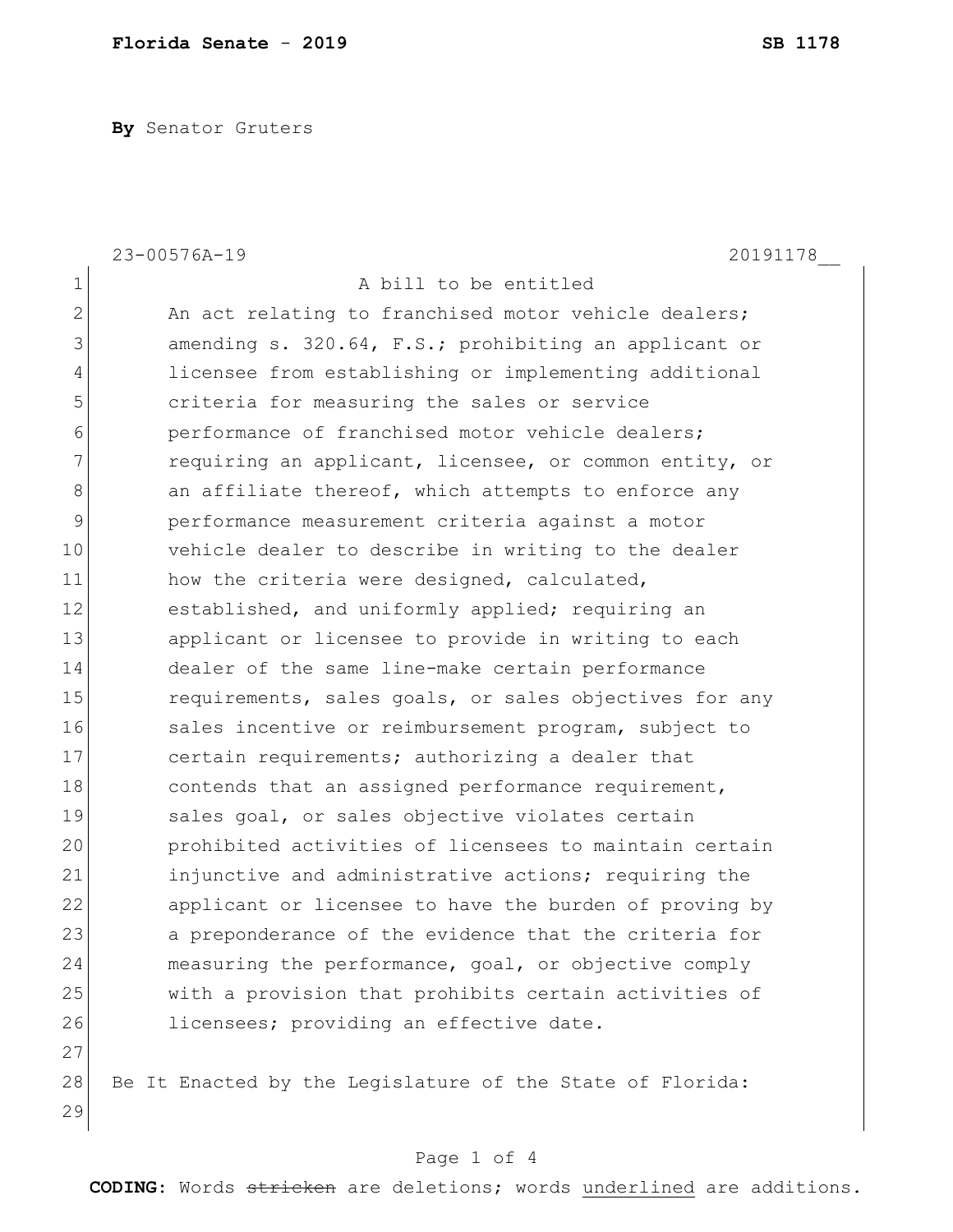**By** Senator Gruters

|                | 23-00576A-19<br>20191178                                  |
|----------------|-----------------------------------------------------------|
| $\mathbf 1$    | A bill to be entitled                                     |
| $\mathbf{2}$   | An act relating to franchised motor vehicle dealers;      |
| $\mathcal{S}$  | amending s. 320.64, F.S.; prohibiting an applicant or     |
| $\overline{4}$ | licensee from establishing or implementing additional     |
| 5              | criteria for measuring the sales or service               |
| 6              | performance of franchised motor vehicle dealers;          |
| 7              | requiring an applicant, licensee, or common entity, or    |
| 8              | an affiliate thereof, which attempts to enforce any       |
| 9              | performance measurement criteria against a motor          |
| 10             | vehicle dealer to describe in writing to the dealer       |
| 11             | how the criteria were designed, calculated,               |
| 12             | established, and uniformly applied; requiring an          |
| 13             | applicant or licensee to provide in writing to each       |
| 14             | dealer of the same line-make certain performance          |
| 15             | requirements, sales goals, or sales objectives for any    |
| 16             | sales incentive or reimbursement program, subject to      |
| 17             | certain requirements; authorizing a dealer that           |
| 18             | contends that an assigned performance requirement,        |
| 19             | sales goal, or sales objective violates certain           |
| 20             | prohibited activities of licensees to maintain certain    |
| 21             | injunctive and administrative actions; requiring the      |
| 22             | applicant or licensee to have the burden of proving by    |
| 23             | a preponderance of the evidence that the criteria for     |
| 24             | measuring the performance, goal, or objective comply      |
| 25             | with a provision that prohibits certain activities of     |
| 26             | licensees; providing an effective date.                   |
| 27             |                                                           |
| 28             | Be It Enacted by the Legislature of the State of Florida: |
| 29             |                                                           |

## Page 1 of 4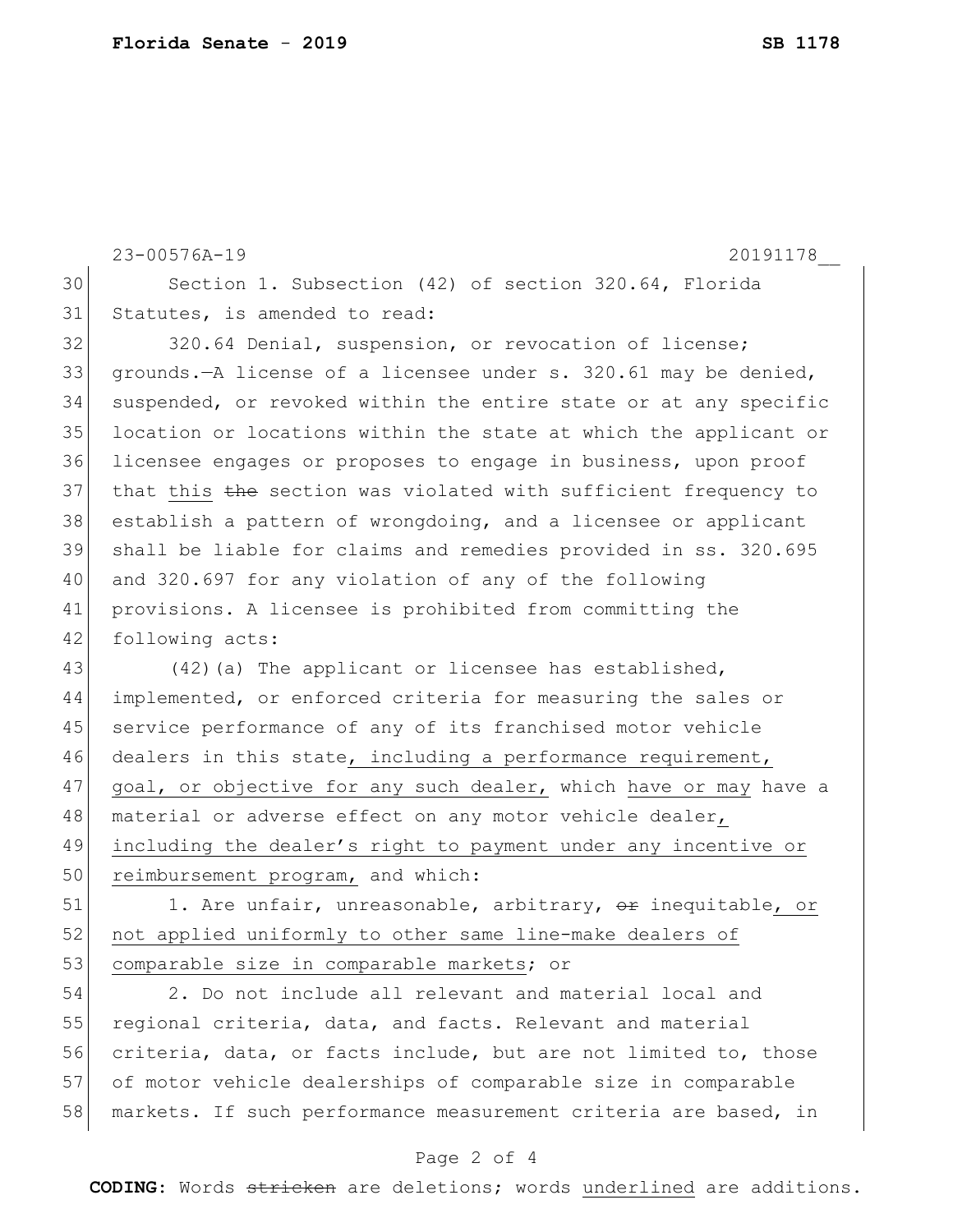```
23-00576A-19 20191178__
30 Section 1. Subsection (42) of section 320.64, Florida 
31 Statutes, is amended to read:
32 320.64 Denial, suspension, or revocation of license;
33 grounds.—A license of a licensee under s. 320.61 may be denied, 
34 suspended, or revoked within the entire state or at any specific 
35 location or locations within the state at which the applicant or 
36 licensee engages or proposes to engage in business, upon proof 
37 that this the section was violated with sufficient frequency to
```
 establish a pattern of wrongdoing, and a licensee or applicant shall be liable for claims and remedies provided in ss. 320.695 and 320.697 for any violation of any of the following provisions. A licensee is prohibited from committing the 42 following acts:

43 (42)(a) The applicant or licensee has established, 44 implemented, or enforced criteria for measuring the sales or 45 service performance of any of its franchised motor vehicle 46 dealers in this state, including a performance requirement, 47 goal, or objective for any such dealer, which have or may have a 48 | material or adverse effect on any motor vehicle dealer, 49 including the dealer's right to payment under any incentive or 50 reimbursement program, and which:

51 1. Are unfair, unreasonable, arbitrary, or inequitable, or 52 not applied uniformly to other same line-make dealers of 53 comparable size in comparable markets; or

54 2. Do not include all relevant and material local and 55 regional criteria, data, and facts. Relevant and material 56 criteria, data, or facts include, but are not limited to, those 57 of motor vehicle dealerships of comparable size in comparable 58 markets. If such performance measurement criteria are based, in

## Page 2 of 4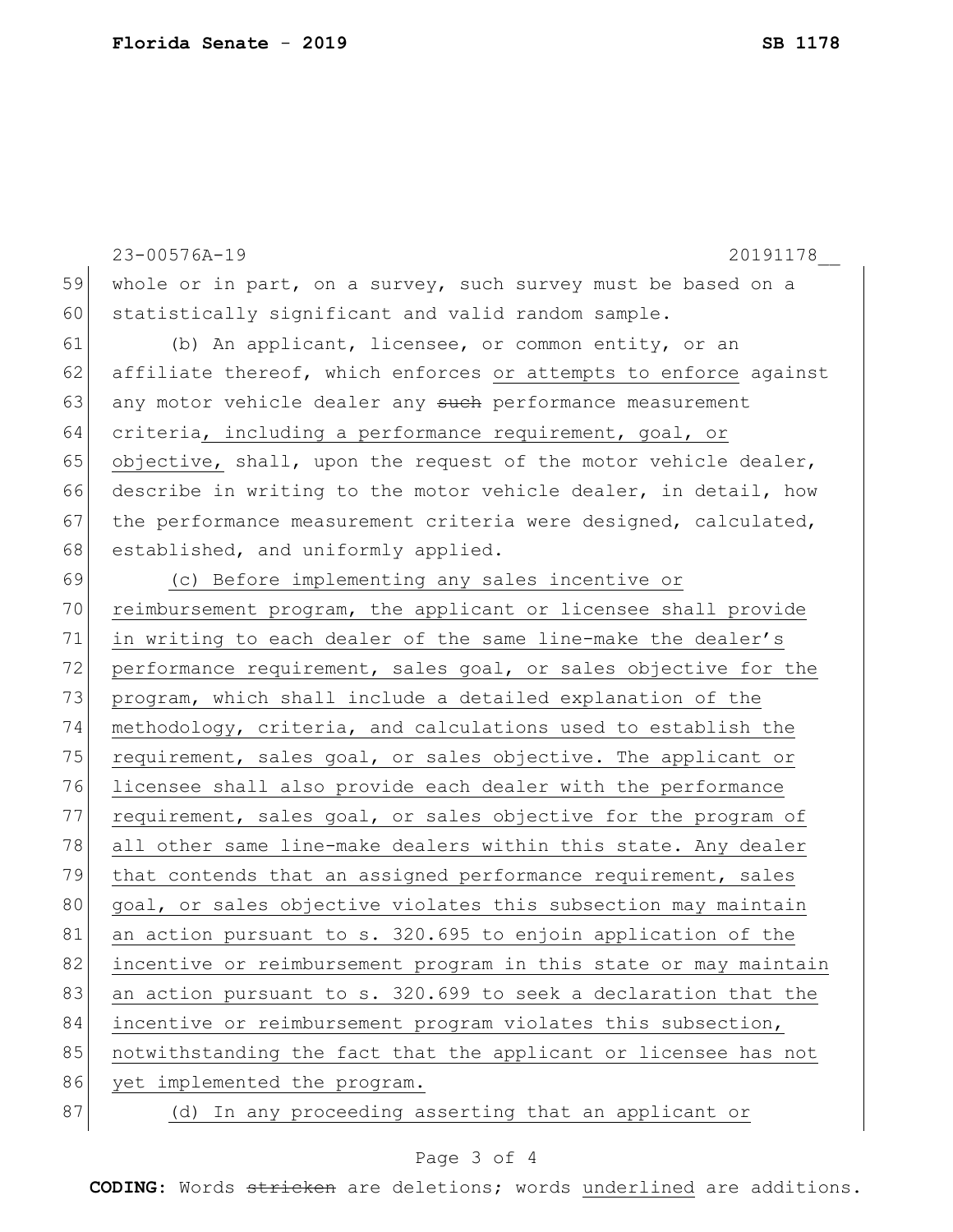23-00576A-19 20191178\_\_ 59 whole or in part, on a survey, such survey must be based on a 60 statistically significant and valid random sample. 61 (b) An applicant, licensee, or common entity, or an 62 affiliate thereof, which enforces or attempts to enforce against 63 any motor vehicle dealer any such performance measurement 64 criteria, including a performance requirement, goal, or 65 objective, shall, upon the request of the motor vehicle dealer, 66 describe in writing to the motor vehicle dealer, in detail, how 67 the performance measurement criteria were designed, calculated, 68 established, and uniformly applied. 69 (c) Before implementing any sales incentive or 70 reimbursement program, the applicant or licensee shall provide 71 in writing to each dealer of the same line-make the dealer's 72 performance requirement, sales goal, or sales objective for the 73 program, which shall include a detailed explanation of the 74 methodology, criteria, and calculations used to establish the 75 requirement, sales goal, or sales objective. The applicant or 76 licensee shall also provide each dealer with the performance 77 requirement, sales goal, or sales objective for the program of 78 all other same line-make dealers within this state. Any dealer 79 that contends that an assigned performance requirement, sales 80 goal, or sales objective violates this subsection may maintain 81 an action pursuant to s. 320.695 to enjoin application of the 82 incentive or reimbursement program in this state or may maintain 83 an action pursuant to s. 320.699 to seek a declaration that the 84 incentive or reimbursement program violates this subsection, 85 notwithstanding the fact that the applicant or licensee has not 86 yet implemented the program. 87 (d) In any proceeding asserting that an applicant or

## Page 3 of 4